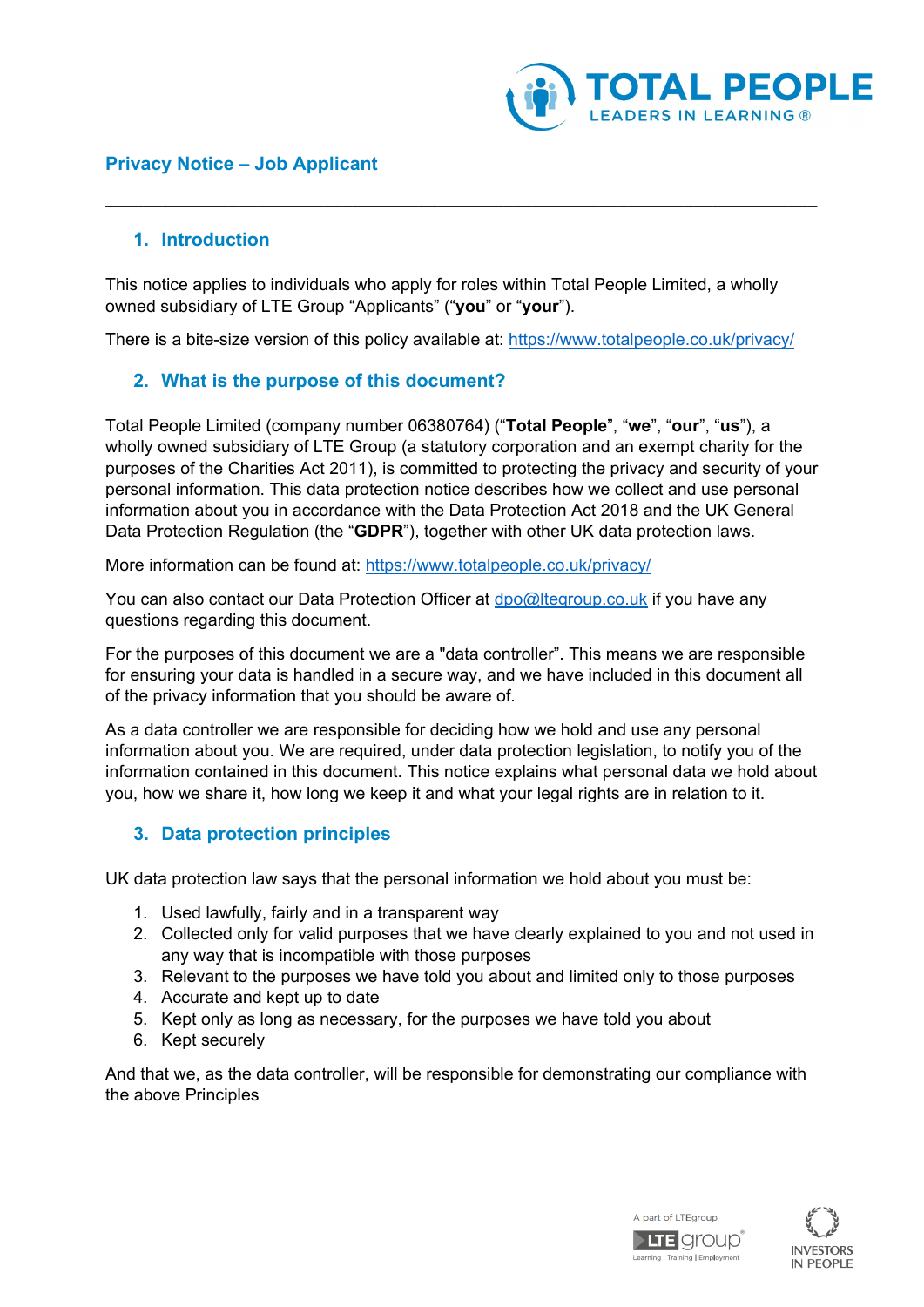

## **Privacy Notice – Job Applicant**

#### **1. Introduction**

This notice applies to individuals who apply for roles within Total People Limited, a wholly owned subsidiary of LTE Group "Applicants" ("**you**" or "**your**").

**\_\_\_\_\_\_\_\_\_\_\_\_\_\_\_\_\_\_\_\_\_\_\_\_\_\_\_\_\_\_\_\_\_\_\_\_\_\_\_\_\_\_\_\_\_\_\_\_\_\_\_\_\_\_\_\_\_\_\_\_\_\_\_\_\_\_\_\_\_\_\_\_\_\_\_**

There is a bite-size version of this policy available at: <https://www.totalpeople.co.uk/privacy/>

## **2. What is the purpose of this document?**

Total People Limited (company number 06380764) ("**Total People**", "**we**", "**our**", "**us**"), a wholly owned subsidiary of LTE Group (a statutory corporation and an exempt charity for the purposes of the Charities Act 2011), is committed to protecting the privacy and security of your personal information. This data protection notice describes how we collect and use personal information about you in accordance with the Data Protection Act 2018 and the UK General Data Protection Regulation (the "**GDPR**"), together with other UK data protection laws.

More information can be found at:<https://www.totalpeople.co.uk/privacy/>

You can also contact our Data Protection Officer at [dpo@ltegroup.co.uk](mailto:dpo@ltegroup.co.uk) if you have any questions regarding this document.

For the purposes of this document we are a "data controller". This means we are responsible for ensuring your data is handled in a secure way, and we have included in this document all of the privacy information that you should be aware of.

As a data controller we are responsible for deciding how we hold and use any personal information about you. We are required, under data protection legislation, to notify you of the information contained in this document. This notice explains what personal data we hold about you, how we share it, how long we keep it and what your legal rights are in relation to it.

## **3. Data protection principles**

UK data protection law says that the personal information we hold about you must be:

- 1. Used lawfully, fairly and in a transparent way
- 2. Collected only for valid purposes that we have clearly explained to you and not used in any way that is incompatible with those purposes
- 3. Relevant to the purposes we have told you about and limited only to those purposes
- 4. Accurate and kept up to date
- 5. Kept only as long as necessary, for the purposes we have told you about
- 6. Kept securely

And that we, as the data controller, will be responsible for demonstrating our compliance with the above Principles



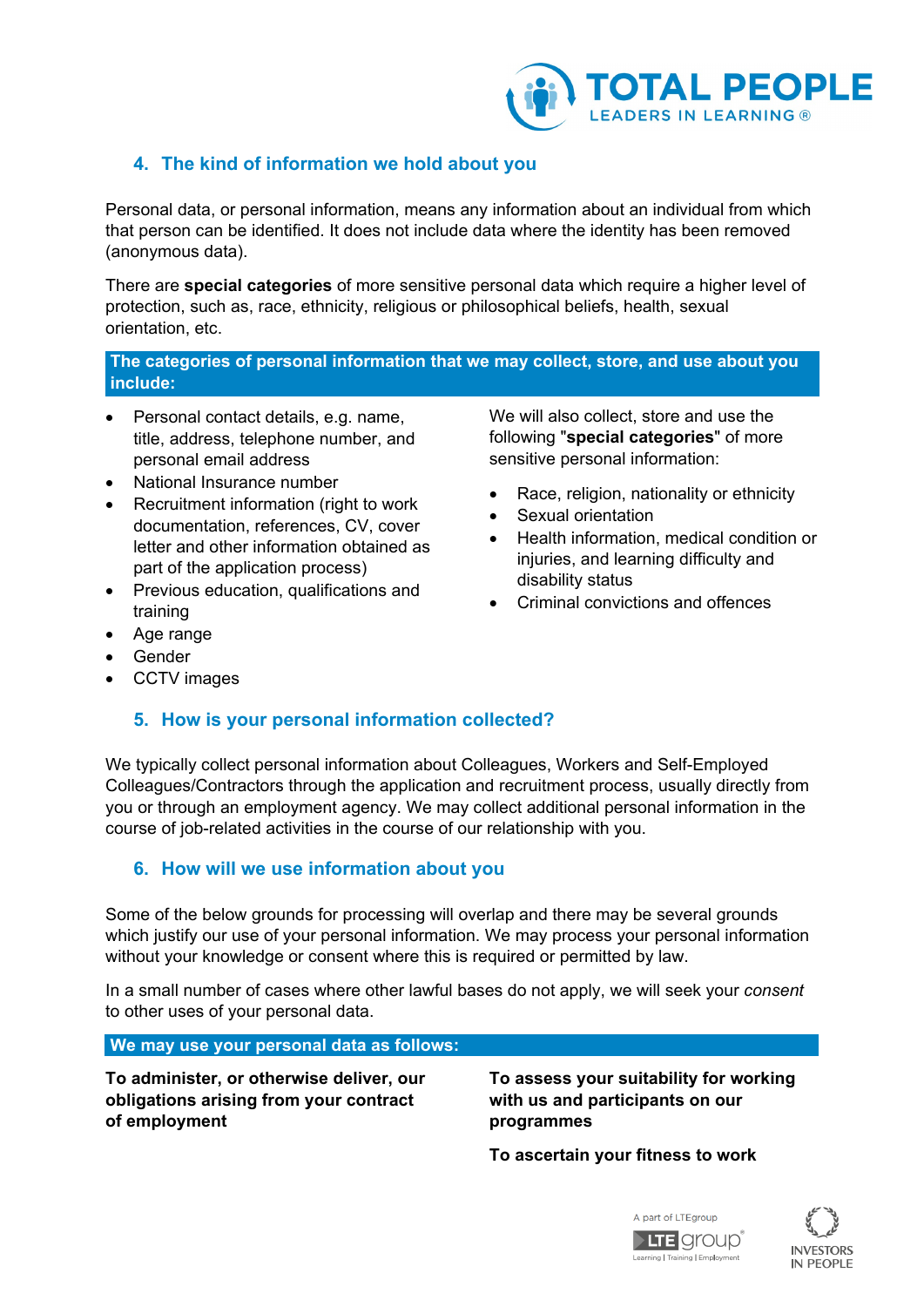

# <span id="page-1-0"></span>**4. The kind of information we hold about you**

Personal data, or personal information, means any information about an individual from which that person can be identified. It does not include data where the identity has been removed (anonymous data).

There are **special categories** of more sensitive personal data which require a higher level of protection, such as, race, ethnicity, religious or philosophical beliefs, health, sexual orientation, etc.

#### **The categories of personal information that we may collect, store, and use about you include:**

- Personal contact details, e.g. name, title, address, telephone number, and personal email address
- National Insurance number
- Recruitment information (right to work documentation, references, CV, cover letter and other information obtained as part of the application process)
- Previous education, qualifications and training
- Age range
- Gender
- CCTV images

## **5. How is your personal information collected?**

We typically collect personal information about Colleagues, Workers and Self-Employed Colleagues/Contractors through the application and recruitment process, usually directly from you or through an employment agency. We may collect additional personal information in the course of job-related activities in the course of our relationship with you.

#### **6. How will we use information about you**

Some of the below grounds for processing will overlap and there may be several grounds which justify our use of your personal information. We may process your personal information without your knowledge or consent where this is required or permitted by law.

In a small number of cases where other lawful bases do not apply, we will seek your *consent* to other uses of your personal data.

**We may use your personal data as follows:**

**To administer, or otherwise deliver, our obligations arising from your contract of employment**

#### **To assess your suitability for working with us and participants on our programmes**

**To ascertain your fitness to work**





We will also collect, store and use the following "**special categories**" of more sensitive personal information:

- Race, religion, nationality or ethnicity
- Sexual orientation
- Health information, medical condition or injuries, and learning difficulty and disability status
- Criminal convictions and offences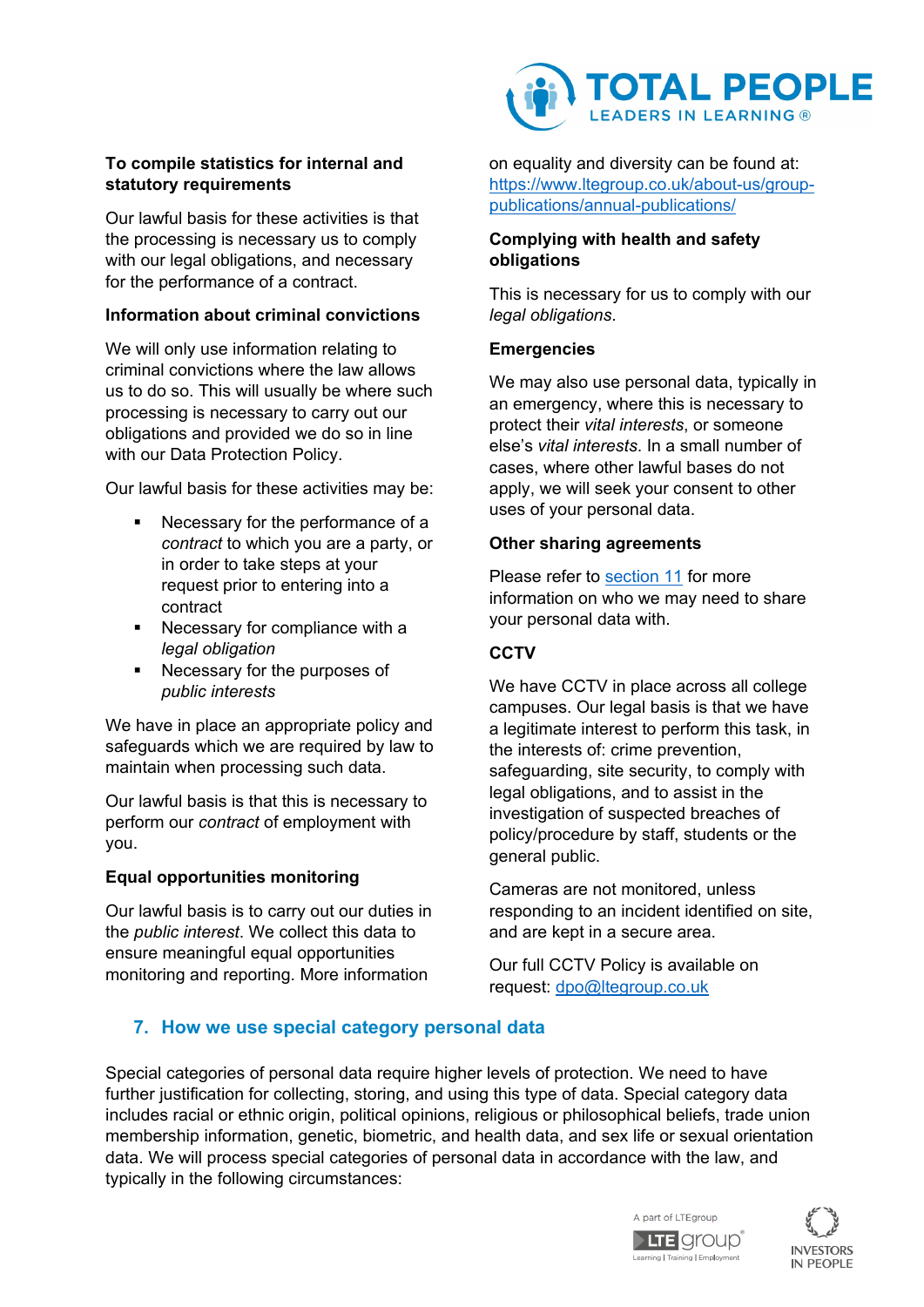### **To compile statistics for internal and statutory requirements**

Our lawful basis for these activities is that the processing is necessary us to comply with our legal obligations, and necessary for the performance of a contract.

#### **Information about criminal convictions**

We will only use information relating to criminal convictions where the law allows us to do so. This will usually be where such processing is necessary to carry out our obligations and provided we do so in line with our Data Protection Policy.

Our lawful basis for these activities may be:

- Necessary for the performance of a *contract* to which you are a party, or in order to take steps at your request prior to entering into a contract
- Necessary for compliance with a *legal obligation*
- **Necessary for the purposes of** *public interests*

We have in place an appropriate policy and safeguards which we are required by law to maintain when processing such data.

Our lawful basis is that this is necessary to perform our *contract* of employment with you.

## **Equal opportunities monitoring**

Our lawful basis is to carry out our duties in the *public interest*. We collect this data to ensure meaningful equal opportunities monitoring and reporting. More information



on equality and diversity can be found at: [https://www.ltegroup.co.uk/about-us/group](https://www.ltegroup.co.uk/about-us/group-publications/annual-publications/)[publications/annual-publications/](https://www.ltegroup.co.uk/about-us/group-publications/annual-publications/)

#### **Complying with health and safety obligations**

This is necessary for us to comply with our *legal obligations*.

#### **Emergencies**

We may also use personal data, typically in an emergency, where this is necessary to protect their *vital interests*, or someone else's *vital interests*. In a small number of cases, where other lawful bases do not apply, we will seek your consent to other uses of your personal data.

#### **Other sharing agreements**

Please refer to section 11 for more information on who we may need to share your personal data with.

### **CCTV**

We have CCTV in place across all college campuses. Our legal basis is that we have a legitimate interest to perform this task, in the interests of: crime prevention, safeguarding, site security, to comply with legal obligations, and to assist in the investigation of suspected breaches of policy/procedure by staff, students or the general public.

Cameras are not monitored, unless responding to an incident identified on site, and are kept in a secure area.

Our full CCTV Policy is available on request: [dpo@ltegroup.co.uk](mailto:dpo@ltegroup.co.uk)

# **7. How we use special category personal data**

Special categories of personal data require higher levels of protection. We need to have further justification for collecting, storing, and using this type of data. Special category data includes racial or ethnic origin, political opinions, religious or philosophical beliefs, trade union membership information, genetic, biometric, and health data, and sex life or sexual orientation data. We will process special categories of personal data in accordance with the law, and typically in the following circumstances:



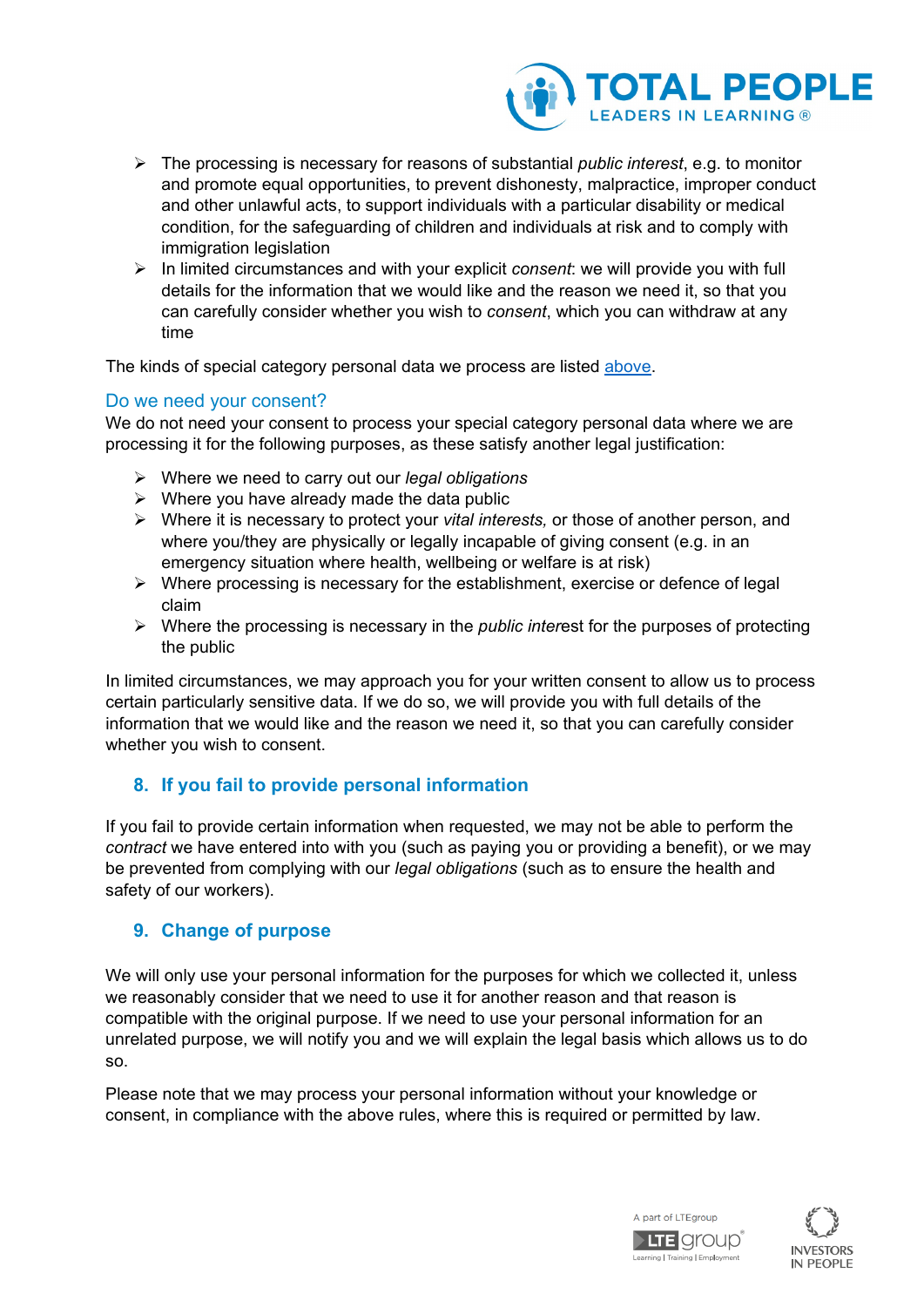

- The processing is necessary for reasons of substantial *public interest*, e.g. to monitor and promote equal opportunities, to prevent dishonesty, malpractice, improper conduct and other unlawful acts, to support individuals with a particular disability or medical condition, for the safeguarding of children and individuals at risk and to comply with immigration legislation
- In limited circumstances and with your explicit *consent*: we will provide you with full details for the information that we would like and the reason we need it, so that you can carefully consider whether you wish to *consent*, which you can withdraw at any time

The kinds of special category personal data we process are listed [above.](#page-1-0)

#### Do we need your consent?

We do not need your consent to process your special category personal data where we are processing it for the following purposes, as these satisfy another legal justification:

- Where we need to carry out our *legal obligations*
- $\triangleright$  Where you have already made the data public
- Where it is necessary to protect your *vital interests,* or those of another person, and where you/they are physically or legally incapable of giving consent (e.g. in an emergency situation where health, wellbeing or welfare is at risk)
- $\triangleright$  Where processing is necessary for the establishment, exercise or defence of legal claim
- Where the processing is necessary in the *public inter*est for the purposes of protecting the public

In limited circumstances, we may approach you for your written consent to allow us to process certain particularly sensitive data. If we do so, we will provide you with full details of the information that we would like and the reason we need it, so that you can carefully consider whether you wish to consent.

## **8. If you fail to provide personal information**

If you fail to provide certain information when requested, we may not be able to perform the *contract* we have entered into with you (such as paying you or providing a benefit), or we may be prevented from complying with our *legal obligations* (such as to ensure the health and safety of our workers).

#### **9. Change of purpose**

We will only use your personal information for the purposes for which we collected it, unless we reasonably consider that we need to use it for another reason and that reason is compatible with the original purpose. If we need to use your personal information for an unrelated purpose, we will notify you and we will explain the legal basis which allows us to do so.

Please note that we may process your personal information without your knowledge or consent, in compliance with the above rules, where this is required or permitted by law.



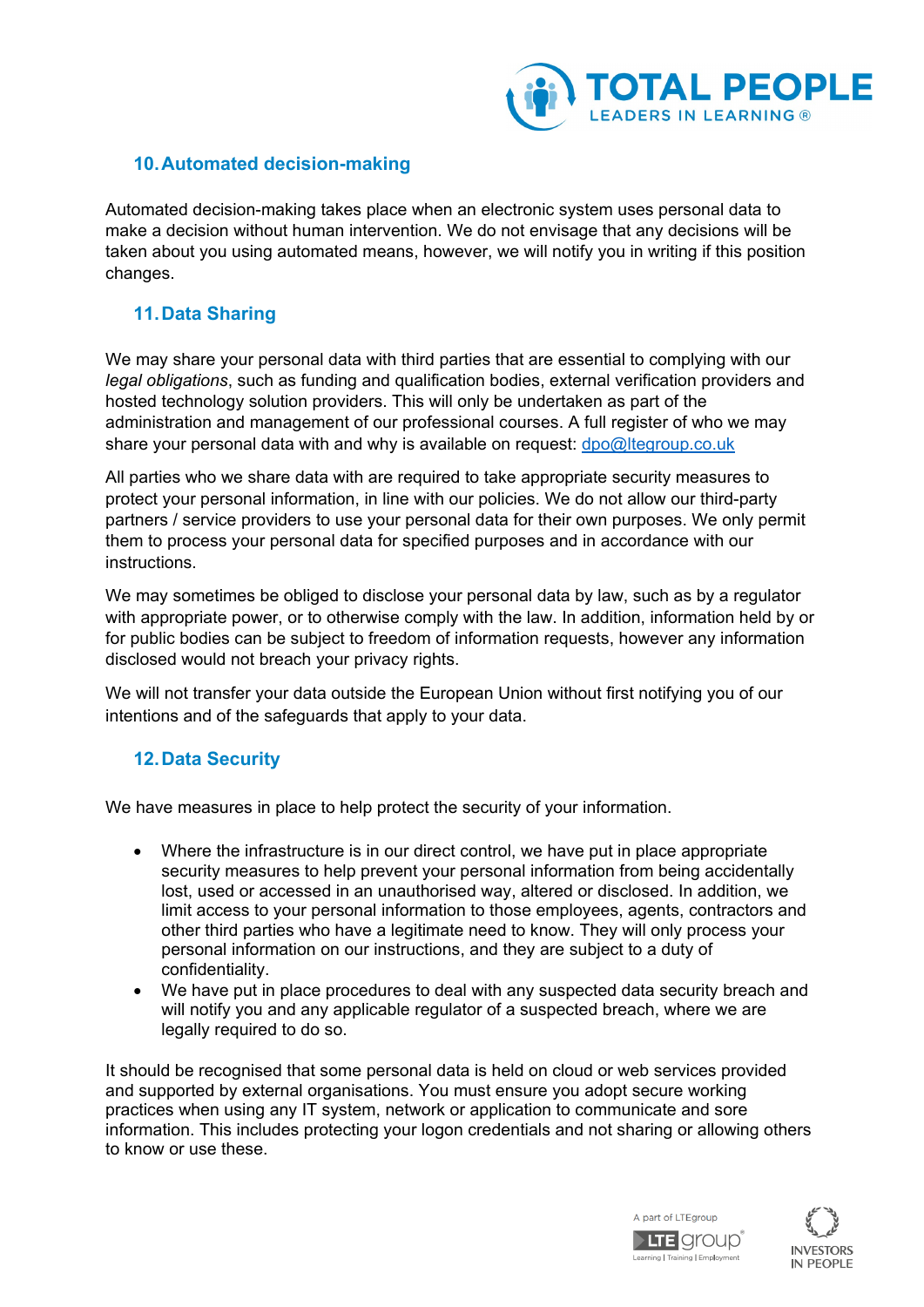

## **10.Automated decision-making**

Automated decision-making takes place when an electronic system uses personal data to make a decision without human intervention. We do not envisage that any decisions will be taken about you using automated means, however, we will notify you in writing if this position changes.

## **11.Data Sharing**

We may share your personal data with third parties that are essential to complying with our *legal obligations*, such as funding and qualification bodies, external verification providers and hosted technology solution providers. This will only be undertaken as part of the administration and management of our professional courses. A full register of who we may share your personal data with and why is available on request: [dpo@ltegroup.co.uk](mailto:dpo@ltegroup.co.uk)

All parties who we share data with are required to take appropriate security measures to protect your personal information, in line with our policies. We do not allow our third-party partners / service providers to use your personal data for their own purposes. We only permit them to process your personal data for specified purposes and in accordance with our instructions.

We may sometimes be obliged to disclose your personal data by law, such as by a regulator with appropriate power, or to otherwise comply with the law. In addition, information held by or for public bodies can be subject to freedom of information requests, however any information disclosed would not breach your privacy rights.

We will not transfer your data outside the European Union without first notifying you of our intentions and of the safeguards that apply to your data.

## **12.Data Security**

We have measures in place to help protect the security of your information.

- Where the infrastructure is in our direct control, we have put in place appropriate security measures to help prevent your personal information from being accidentally lost, used or accessed in an unauthorised way, altered or disclosed. In addition, we limit access to your personal information to those employees, agents, contractors and other third parties who have a legitimate need to know. They will only process your personal information on our instructions, and they are subject to a duty of confidentiality.
- We have put in place procedures to deal with any suspected data security breach and will notify you and any applicable regulator of a suspected breach, where we are legally required to do so.

It should be recognised that some personal data is held on cloud or web services provided and supported by external organisations. You must ensure you adopt secure working practices when using any IT system, network or application to communicate and sore information. This includes protecting your logon credentials and not sharing or allowing others to know or use these.



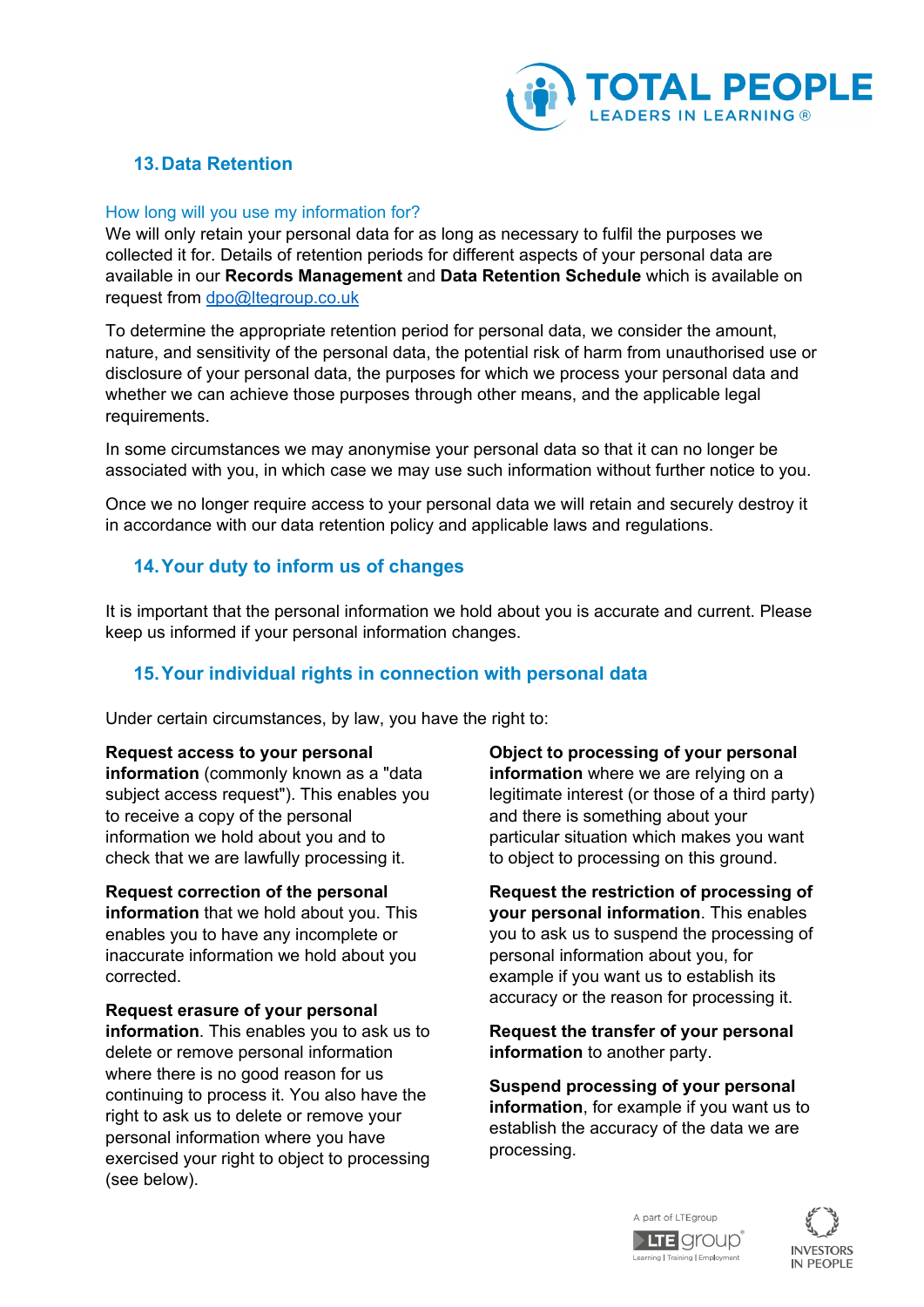

# **13.Data Retention**

#### How long will you use my information for?

We will only retain your personal data for as long as necessary to fulfil the purposes we collected it for. Details of retention periods for different aspects of your personal data are available in our **Records Management** and **Data Retention Schedule** which is available on request from [dpo@ltegroup.co.uk](mailto:dpo@ltegroup.co.uk)

To determine the appropriate retention period for personal data, we consider the amount, nature, and sensitivity of the personal data, the potential risk of harm from unauthorised use or disclosure of your personal data, the purposes for which we process your personal data and whether we can achieve those purposes through other means, and the applicable legal requirements.

In some circumstances we may anonymise your personal data so that it can no longer be associated with you, in which case we may use such information without further notice to you.

Once we no longer require access to your personal data we will retain and securely destroy it in accordance with our data retention policy and applicable laws and regulations.

## **14.Your duty to inform us of changes**

It is important that the personal information we hold about you is accurate and current. Please keep us informed if your personal information changes.

## **15.Your individual rights in connection with personal data**

Under certain circumstances, by law, you have the right to:

#### **Request access to your personal**

**information** (commonly known as a "data subject access request"). This enables you to receive a copy of the personal information we hold about you and to check that we are lawfully processing it.

**Request correction of the personal information** that we hold about you. This enables you to have any incomplete or inaccurate information we hold about you corrected.

**Request erasure of your personal information**. This enables you to ask us to delete or remove personal information where there is no good reason for us continuing to process it. You also have the right to ask us to delete or remove your personal information where you have exercised your right to object to processing (see below).

**Object to processing of your personal information** where we are relying on a legitimate interest (or those of a third party) and there is something about your particular situation which makes you want to object to processing on this ground.

**Request the restriction of processing of your personal information**. This enables you to ask us to suspend the processing of personal information about you, for example if you want us to establish its accuracy or the reason for processing it.

**Request the transfer of your personal information** to another party.

**Suspend processing of your personal information**, for example if you want us to establish the accuracy of the data we are processing.